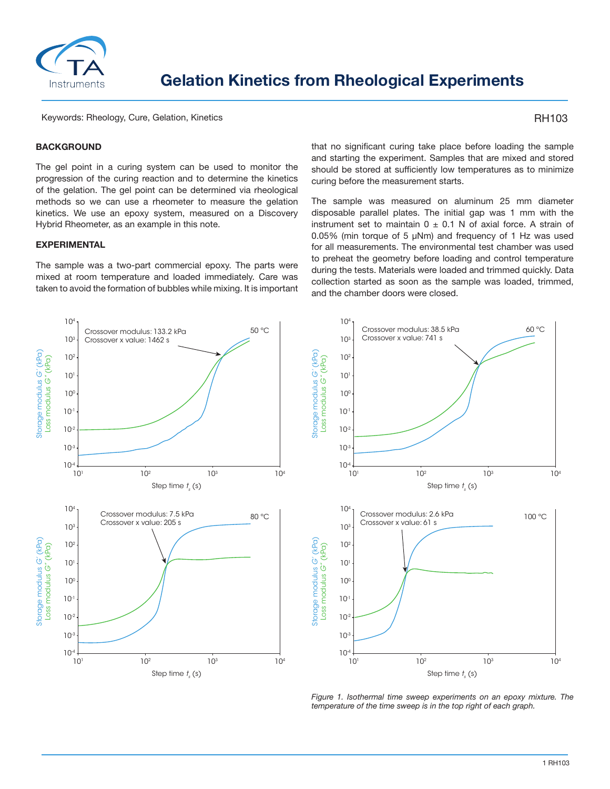

Keywords: Rheology, Cure, Gelation, Kinetics

# RH103

# **BACKGROUND**

The gel point in a curing system can be used to monitor the progression of the curing reaction and to determine the kinetics of the gelation. The gel point can be determined via rheological methods so we can use a rheometer to measure the gelation kinetics. We use an epoxy system, measured on a Discovery Hybrid Rheometer, as an example in this note.

#### **EXPERIMENTAL**

The sample was a two-part commercial epoxy. The parts were mixed at room temperature and loaded immediately. Care was taken to avoid the formation of bubbles while mixing. It is important that no significant curing take place before loading the sample and starting the experiment. Samples that are mixed and stored should be stored at sufficiently low temperatures as to minimize curing before the measurement starts.

The sample was measured on aluminum 25 mm diameter disposable parallel plates. The initial gap was 1 mm with the instrument set to maintain  $0 \pm 0.1$  N of axial force. A strain of 0.05% (min torque of 5 μNm) and frequency of 1 Hz was used for all measurements. The environmental test chamber was used to preheat the geometry before loading and control temperature during the tests. Materials were loaded and trimmed quickly. Data collection started as soon as the sample was loaded, trimmed, and the chamber doors were closed.



*Figure 1. Isothermal time sweep experiments on an epoxy mixture. The temperature of the time sweep is in the top right of each graph.*